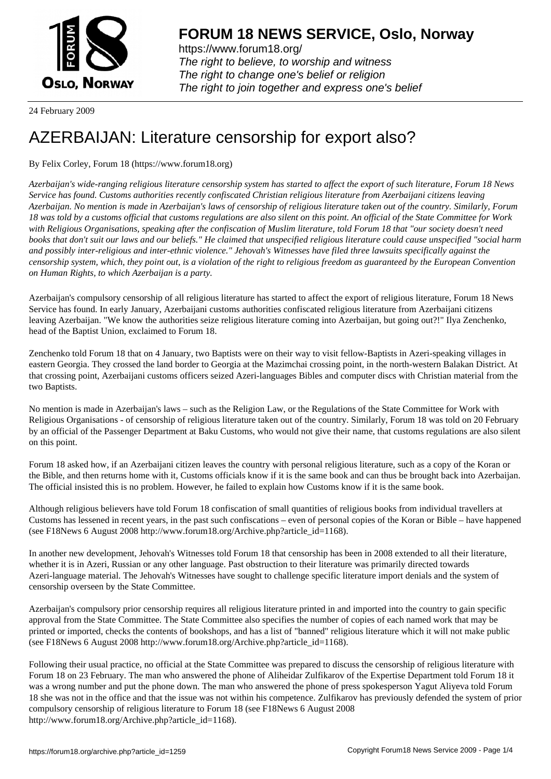

https://www.forum18.org/ The right to believe, to worship and witness The right to change one's belief or religion [The right to join together a](https://www.forum18.org/)nd express one's belief

24 February 2009

## [AZERBAIJAN: L](https://www.forum18.org)iterature censorship for export also?

By Felix Corley, Forum 18 (https://www.forum18.org)

*Azerbaijan's wide-ranging religious literature censorship system has started to affect the export of such literature, Forum 18 News Service has found. Customs authorities recently confiscated Christian religious literature from Azerbaijani citizens leaving Azerbaijan. No mention is made in Azerbaijan's laws of censorship of religious literature taken out of the country. Similarly, Forum 18 was told by a customs official that customs regulations are also silent on this point. An official of the State Committee for Work with Religious Organisations, speaking after the confiscation of Muslim literature, told Forum 18 that "our society doesn't need books that don't suit our laws and our beliefs." He claimed that unspecified religious literature could cause unspecified "social harm and possibly inter-religious and inter-ethnic violence." Jehovah's Witnesses have filed three lawsuits specifically against the censorship system, which, they point out, is a violation of the right to religious freedom as guaranteed by the European Convention on Human Rights, to which Azerbaijan is a party.*

Azerbaijan's compulsory censorship of all religious literature has started to affect the export of religious literature, Forum 18 News Service has found. In early January, Azerbaijani customs authorities confiscated religious literature from Azerbaijani citizens leaving Azerbaijan. "We know the authorities seize religious literature coming into Azerbaijan, but going out?!" Ilya Zenchenko, head of the Baptist Union, exclaimed to Forum 18.

Zenchenko told Forum 18 that on 4 January, two Baptists were on their way to visit fellow-Baptists in Azeri-speaking villages in eastern Georgia. They crossed the land border to Georgia at the Mazimchai crossing point, in the north-western Balakan District. At that crossing point, Azerbaijani customs officers seized Azeri-languages Bibles and computer discs with Christian material from the two Baptists.

No mention is made in Azerbaijan's laws – such as the Religion Law, or the Regulations of the State Committee for Work with Religious Organisations - of censorship of religious literature taken out of the country. Similarly, Forum 18 was told on 20 February by an official of the Passenger Department at Baku Customs, who would not give their name, that customs regulations are also silent on this point.

Forum 18 asked how, if an Azerbaijani citizen leaves the country with personal religious literature, such as a copy of the Koran or the Bible, and then returns home with it, Customs officials know if it is the same book and can thus be brought back into Azerbaijan. The official insisted this is no problem. However, he failed to explain how Customs know if it is the same book.

Although religious believers have told Forum 18 confiscation of small quantities of religious books from individual travellers at Customs has lessened in recent years, in the past such confiscations – even of personal copies of the Koran or Bible – have happened (see F18News 6 August 2008 http://www.forum18.org/Archive.php?article\_id=1168).

In another new development, Jehovah's Witnesses told Forum 18 that censorship has been in 2008 extended to all their literature, whether it is in Azeri, Russian or any other language. Past obstruction to their literature was primarily directed towards Azeri-language material. The Jehovah's Witnesses have sought to challenge specific literature import denials and the system of censorship overseen by the State Committee.

Azerbaijan's compulsory prior censorship requires all religious literature printed in and imported into the country to gain specific approval from the State Committee. The State Committee also specifies the number of copies of each named work that may be printed or imported, checks the contents of bookshops, and has a list of "banned" religious literature which it will not make public (see F18News 6 August 2008 http://www.forum18.org/Archive.php?article\_id=1168).

Following their usual practice, no official at the State Committee was prepared to discuss the censorship of religious literature with Forum 18 on 23 February. The man who answered the phone of Aliheidar Zulfikarov of the Expertise Department told Forum 18 it was a wrong number and put the phone down. The man who answered the phone of press spokesperson Yagut Aliyeva told Forum 18 she was not in the office and that the issue was not within his competence. Zulfikarov has previously defended the system of prior compulsory censorship of religious literature to Forum 18 (see F18News 6 August 2008 http://www.forum18.org/Archive.php?article\_id=1168).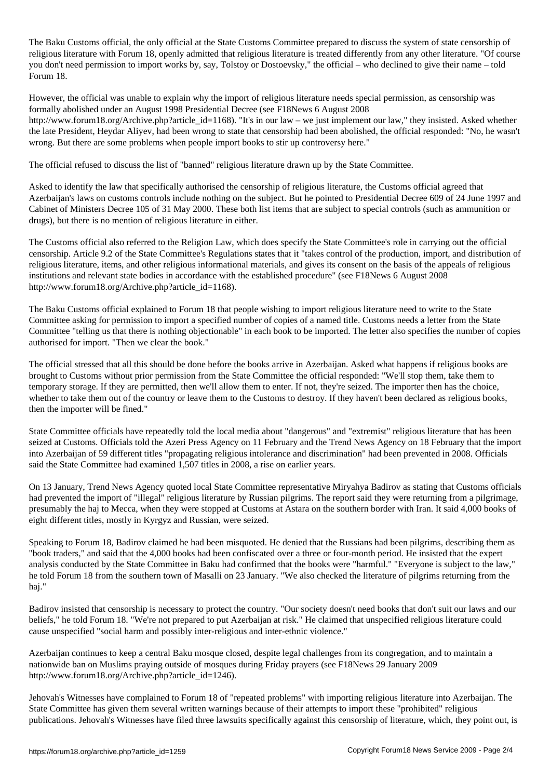The Baku Customs of the only official at the State Customs Customs Customs Customs Customs Customs Customs Customs Customs Customs Customs Customs Customs Customs Customs Customs Customs Customs Customs Customs Customs Cu religious literature with Forum 18, openly admitted that religious literature is treated differently from any other literature. "Of course you don't need permission to import works by, say, Tolstoy or Dostoevsky," the official – who declined to give their name – told Forum 18.

However, the official was unable to explain why the import of religious literature needs special permission, as censorship was formally abolished under an August 1998 Presidential Decree (see F18News 6 August 2008 http://www.forum18.org/Archive.php?article\_id=1168). "It's in our law – we just implement our law," they insisted. Asked whether the late President, Heydar Aliyev, had been wrong to state that censorship had been abolished, the official responded: "No, he wasn't wrong. But there are some problems when people import books to stir up controversy here."

The official refused to discuss the list of "banned" religious literature drawn up by the State Committee.

Asked to identify the law that specifically authorised the censorship of religious literature, the Customs official agreed that Azerbaijan's laws on customs controls include nothing on the subject. But he pointed to Presidential Decree 609 of 24 June 1997 and Cabinet of Ministers Decree 105 of 31 May 2000. These both list items that are subject to special controls (such as ammunition or drugs), but there is no mention of religious literature in either.

The Customs official also referred to the Religion Law, which does specify the State Committee's role in carrying out the official censorship. Article 9.2 of the State Committee's Regulations states that it "takes control of the production, import, and distribution of religious literature, items, and other religious informational materials, and gives its consent on the basis of the appeals of religious institutions and relevant state bodies in accordance with the established procedure" (see F18News 6 August 2008 http://www.forum18.org/Archive.php?article\_id=1168).

The Baku Customs official explained to Forum 18 that people wishing to import religious literature need to write to the State Committee asking for permission to import a specified number of copies of a named title. Customs needs a letter from the State Committee "telling us that there is nothing objectionable" in each book to be imported. The letter also specifies the number of copies authorised for import. "Then we clear the book."

The official stressed that all this should be done before the books arrive in Azerbaijan. Asked what happens if religious books are brought to Customs without prior permission from the State Committee the official responded: "We'll stop them, take them to temporary storage. If they are permitted, then we'll allow them to enter. If not, they're seized. The importer then has the choice, whether to take them out of the country or leave them to the Customs to destroy. If they haven't been declared as religious books, then the importer will be fined."

State Committee officials have repeatedly told the local media about "dangerous" and "extremist" religious literature that has been seized at Customs. Officials told the Azeri Press Agency on 11 February and the Trend News Agency on 18 February that the import into Azerbaijan of 59 different titles "propagating religious intolerance and discrimination" had been prevented in 2008. Officials said the State Committee had examined 1,507 titles in 2008, a rise on earlier years.

On 13 January, Trend News Agency quoted local State Committee representative Miryahya Badirov as stating that Customs officials had prevented the import of "illegal" religious literature by Russian pilgrims. The report said they were returning from a pilgrimage, presumably the haj to Mecca, when they were stopped at Customs at Astara on the southern border with Iran. It said 4,000 books of eight different titles, mostly in Kyrgyz and Russian, were seized.

Speaking to Forum 18, Badirov claimed he had been misquoted. He denied that the Russians had been pilgrims, describing them as "book traders," and said that the 4,000 books had been confiscated over a three or four-month period. He insisted that the expert analysis conducted by the State Committee in Baku had confirmed that the books were "harmful." "Everyone is subject to the law," he told Forum 18 from the southern town of Masalli on 23 January. "We also checked the literature of pilgrims returning from the haj."

Badirov insisted that censorship is necessary to protect the country. "Our society doesn't need books that don't suit our laws and our beliefs," he told Forum 18. "We're not prepared to put Azerbaijan at risk." He claimed that unspecified religious literature could cause unspecified "social harm and possibly inter-religious and inter-ethnic violence."

Azerbaijan continues to keep a central Baku mosque closed, despite legal challenges from its congregation, and to maintain a nationwide ban on Muslims praying outside of mosques during Friday prayers (see F18News 29 January 2009 http://www.forum18.org/Archive.php?article\_id=1246).

Jehovah's Witnesses have complained to Forum 18 of "repeated problems" with importing religious literature into Azerbaijan. The State Committee has given them several written warnings because of their attempts to import these "prohibited" religious publications. Jehovah's Witnesses have filed three lawsuits specifically against this censorship of literature, which, they point out, is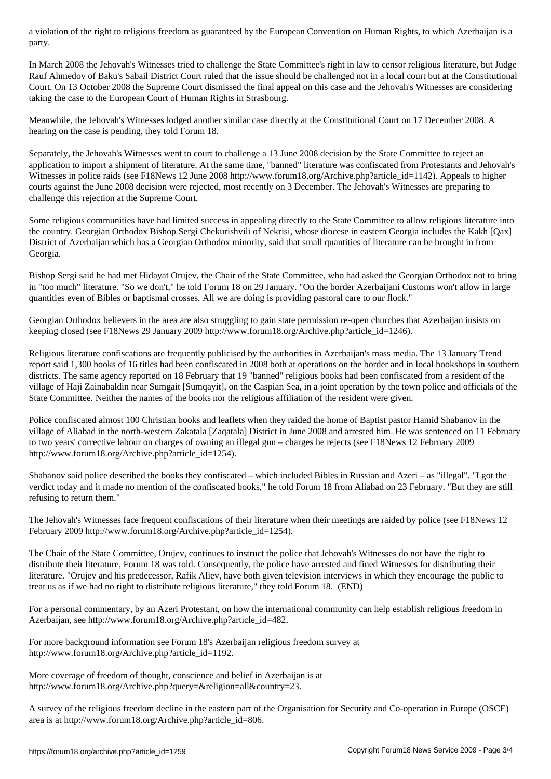$\overline{\phantom{a}}$ 

In March 2008 the Jehovah's Witnesses tried to challenge the State Committee's right in law to censor religious literature, but Judge Rauf Ahmedov of Baku's Sabail District Court ruled that the issue should be challenged not in a local court but at the Constitutional Court. On 13 October 2008 the Supreme Court dismissed the final appeal on this case and the Jehovah's Witnesses are considering taking the case to the European Court of Human Rights in Strasbourg.

Meanwhile, the Jehovah's Witnesses lodged another similar case directly at the Constitutional Court on 17 December 2008. A hearing on the case is pending, they told Forum 18.

Separately, the Jehovah's Witnesses went to court to challenge a 13 June 2008 decision by the State Committee to reject an application to import a shipment of literature. At the same time, "banned" literature was confiscated from Protestants and Jehovah's Witnesses in police raids (see F18News 12 June 2008 http://www.forum18.org/Archive.php?article\_id=1142). Appeals to higher courts against the June 2008 decision were rejected, most recently on 3 December. The Jehovah's Witnesses are preparing to challenge this rejection at the Supreme Court.

Some religious communities have had limited success in appealing directly to the State Committee to allow religious literature into the country. Georgian Orthodox Bishop Sergi Chekurishvili of Nekrisi, whose diocese in eastern Georgia includes the Kakh [Qax] District of Azerbaijan which has a Georgian Orthodox minority, said that small quantities of literature can be brought in from Georgia.

Bishop Sergi said he had met Hidayat Orujev, the Chair of the State Committee, who had asked the Georgian Orthodox not to bring in "too much" literature. "So we don't," he told Forum 18 on 29 January. "On the border Azerbaijani Customs won't allow in large quantities even of Bibles or baptismal crosses. All we are doing is providing pastoral care to our flock."

Georgian Orthodox believers in the area are also struggling to gain state permission re-open churches that Azerbaijan insists on keeping closed (see F18News 29 January 2009 http://www.forum18.org/Archive.php?article\_id=1246).

Religious literature confiscations are frequently publicised by the authorities in Azerbaijan's mass media. The 13 January Trend report said 1,300 books of 16 titles had been confiscated in 2008 both at operations on the border and in local bookshops in southern districts. The same agency reported on 18 February that 19 "banned" religious books had been confiscated from a resident of the village of Haji Zainabaldin near Sumgait [Sumqayit], on the Caspian Sea, in a joint operation by the town police and officials of the State Committee. Neither the names of the books nor the religious affiliation of the resident were given.

Police confiscated almost 100 Christian books and leaflets when they raided the home of Baptist pastor Hamid Shabanov in the village of Aliabad in the north-western Zakatala [Zaqatala] District in June 2008 and arrested him. He was sentenced on 11 February to two years' corrective labour on charges of owning an illegal gun – charges he rejects (see F18News 12 February 2009 http://www.forum18.org/Archive.php?article\_id=1254).

Shabanov said police described the books they confiscated – which included Bibles in Russian and Azeri – as "illegal". "I got the verdict today and it made no mention of the confiscated books," he told Forum 18 from Aliabad on 23 February. "But they are still refusing to return them."

The Jehovah's Witnesses face frequent confiscations of their literature when their meetings are raided by police (see F18News 12 February 2009 http://www.forum18.org/Archive.php?article\_id=1254).

The Chair of the State Committee, Orujev, continues to instruct the police that Jehovah's Witnesses do not have the right to distribute their literature, Forum 18 was told. Consequently, the police have arrested and fined Witnesses for distributing their literature. "Orujev and his predecessor, Rafik Aliev, have both given television interviews in which they encourage the public to treat us as if we had no right to distribute religious literature," they told Forum 18. (END)

For a personal commentary, by an Azeri Protestant, on how the international community can help establish religious freedom in Azerbaijan, see http://www.forum18.org/Archive.php?article\_id=482.

For more background information see Forum 18's Azerbaijan religious freedom survey at http://www.forum18.org/Archive.php?article\_id=1192.

More coverage of freedom of thought, conscience and belief in Azerbaijan is at http://www.forum18.org/Archive.php?query=&religion=all&country=23.

A survey of the religious freedom decline in the eastern part of the Organisation for Security and Co-operation in Europe (OSCE) area is at http://www.forum18.org/Archive.php?article\_id=806.